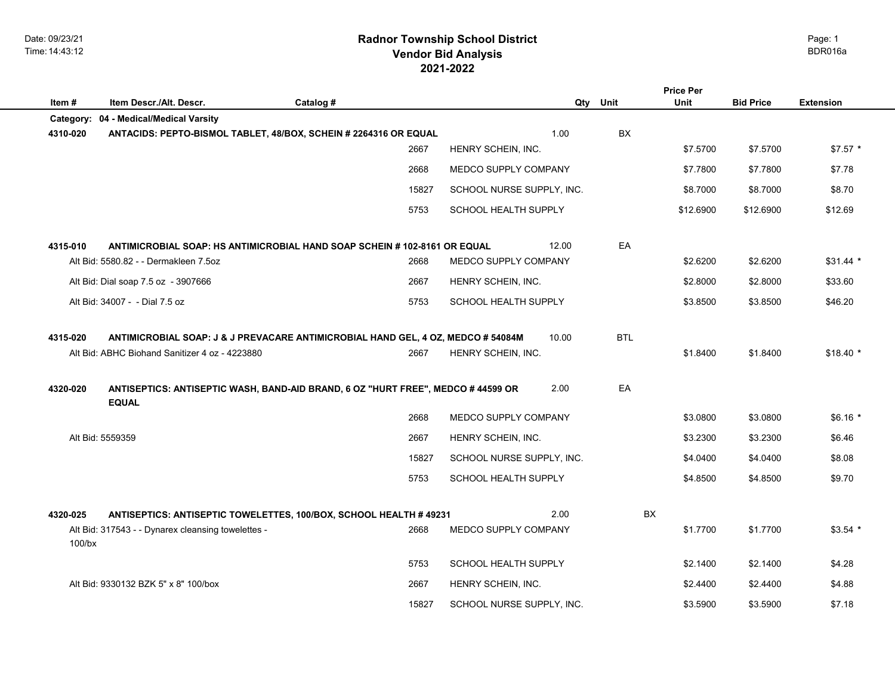Date: 09/23/21 Time: 14:43:12

# **2021-2022 Radnor Township School District Vendor Bid Analysis** BDR016a

| Item#     | Item Descr./Alt. Descr.                            | Catalog #                                                                        |                           | Qty | Unit       | <b>Price Per</b><br>Unit | <b>Bid Price</b> | <b>Extension</b> |
|-----------|----------------------------------------------------|----------------------------------------------------------------------------------|---------------------------|-----|------------|--------------------------|------------------|------------------|
|           | Category: 04 - Medical/Medical Varsity             |                                                                                  |                           |     |            |                          |                  |                  |
| 4310-020  |                                                    | ANTACIDS: PEPTO-BISMOL TABLET, 48/BOX, SCHEIN # 2264316 OR EQUAL                 | 1.00                      |     | <b>BX</b>  |                          |                  |                  |
|           |                                                    | 2667                                                                             | HENRY SCHEIN, INC.        |     |            | \$7.5700                 | \$7.5700         | $$7.57$ *        |
|           |                                                    | 2668                                                                             | MEDCO SUPPLY COMPANY      |     |            | \$7.7800                 | \$7.7800         | \$7.78           |
|           |                                                    | 15827                                                                            | SCHOOL NURSE SUPPLY, INC. |     |            | \$8.7000                 | \$8.7000         | \$8.70           |
|           |                                                    | 5753                                                                             | SCHOOL HEALTH SUPPLY      |     |            | \$12.6900                | \$12.6900        | \$12.69          |
| 4315-010  |                                                    | ANTIMICROBIAL SOAP: HS ANTIMICROBIAL HAND SOAP SCHEIN #102-8161 OR EQUAL         | 12.00                     |     | EA         |                          |                  |                  |
|           | Alt Bid: 5580.82 - - Dermakleen 7.5oz              | 2668                                                                             | MEDCO SUPPLY COMPANY      |     |            | \$2.6200                 | \$2.6200         | $$31.44*$        |
|           | Alt Bid: Dial soap 7.5 oz - 3907666                | 2667                                                                             | HENRY SCHEIN, INC.        |     |            | \$2.8000                 | \$2.8000         | \$33.60          |
|           | Alt Bid: 34007 - - Dial 7.5 oz                     | 5753                                                                             | SCHOOL HEALTH SUPPLY      |     |            | \$3.8500                 | \$3.8500         | \$46.20          |
| 4315-020  |                                                    | ANTIMICROBIAL SOAP: J & J PREVACARE ANTIMICROBIAL HAND GEL, 4 OZ, MEDCO # 54084M | 10.00                     |     | <b>BTL</b> |                          |                  |                  |
|           | Alt Bid: ABHC Biohand Sanitizer 4 oz - 4223880     | 2667                                                                             | HENRY SCHEIN, INC.        |     |            | \$1.8400                 | \$1.8400         | $$18.40*$        |
| 4320-020  | <b>EQUAL</b>                                       | ANTISEPTICS: ANTISEPTIC WASH, BAND-AID BRAND, 6 OZ "HURT FREE", MEDCO # 44599 OR | 2.00                      |     | EA         |                          |                  |                  |
|           |                                                    | 2668                                                                             | MEDCO SUPPLY COMPANY      |     |            | \$3.0800                 | \$3.0800         | $$6.16*$         |
|           | Alt Bid: 5559359                                   | 2667                                                                             | HENRY SCHEIN, INC.        |     |            | \$3.2300                 | \$3.2300         | \$6.46           |
|           |                                                    | 15827                                                                            | SCHOOL NURSE SUPPLY, INC. |     |            | \$4.0400                 | \$4.0400         | \$8.08           |
|           |                                                    | 5753                                                                             | SCHOOL HEALTH SUPPLY      |     |            | \$4.8500                 | \$4.8500         | \$9.70           |
| 4320-025  |                                                    | ANTISEPTICS: ANTISEPTIC TOWELETTES, 100/BOX, SCHOOL HEALTH # 49231               | 2.00                      |     | <b>BX</b>  |                          |                  |                  |
| $100$ /bx | Alt Bid: 317543 - - Dynarex cleansing towelettes - | 2668                                                                             | MEDCO SUPPLY COMPANY      |     |            | \$1.7700                 | \$1.7700         | $$3.54$ *        |
|           |                                                    | 5753                                                                             | SCHOOL HEALTH SUPPLY      |     |            | \$2.1400                 | \$2.1400         | \$4.28           |
|           | Alt Bid: 9330132 BZK 5" x 8" 100/box               | 2667                                                                             | HENRY SCHEIN, INC.        |     |            | \$2,4400                 | \$2.4400         | \$4.88           |
|           |                                                    | 15827                                                                            | SCHOOL NURSE SUPPLY, INC. |     |            | \$3.5900                 | \$3.5900         | \$7.18           |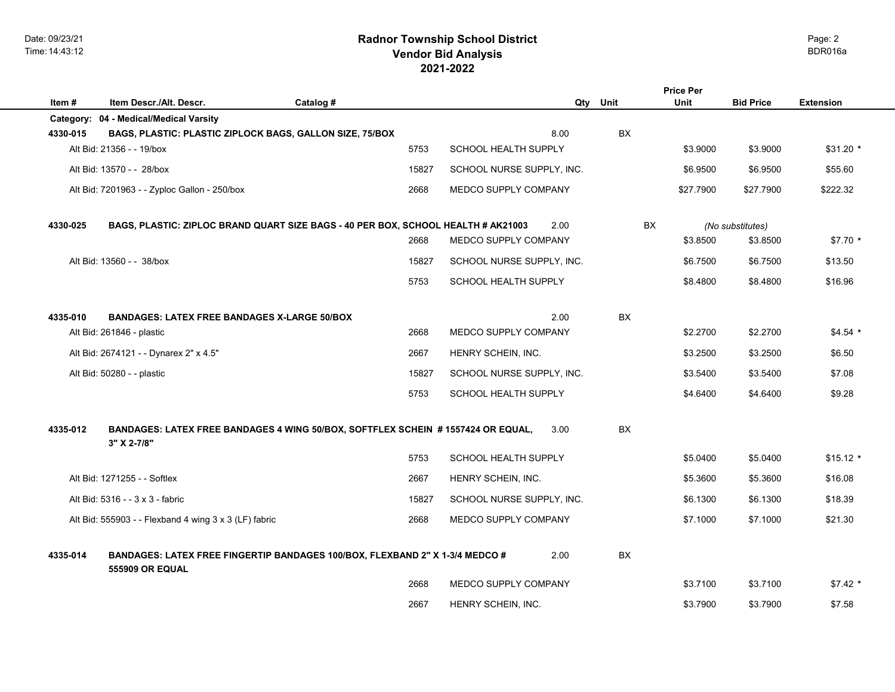|          |                                                                                                        |           |                                     |     |           | <b>Price Per</b> |                  |                  |
|----------|--------------------------------------------------------------------------------------------------------|-----------|-------------------------------------|-----|-----------|------------------|------------------|------------------|
| Item #   | Item Descr./Alt. Descr.                                                                                | Catalog # |                                     | Qty | Unit      | Unit             | <b>Bid Price</b> | <b>Extension</b> |
|          | Category: 04 - Medical/Medical Varsity                                                                 |           |                                     |     |           |                  |                  |                  |
| 4330-015 | BAGS, PLASTIC: PLASTIC ZIPLOCK BAGS, GALLON SIZE, 75/BOX<br>Alt Bid: 21356 - - 19/box                  | 5753      | 8.00<br><b>SCHOOL HEALTH SUPPLY</b> |     | BX        |                  |                  | $$31.20$ *       |
|          |                                                                                                        |           |                                     |     |           | \$3.9000         | \$3.9000         |                  |
|          | Alt Bid: 13570 - - 28/box                                                                              | 15827     | SCHOOL NURSE SUPPLY, INC.           |     |           | \$6,9500         | \$6.9500         | \$55.60          |
|          | Alt Bid: 7201963 - - Zyploc Gallon - 250/box                                                           | 2668      | MEDCO SUPPLY COMPANY                |     |           | \$27.7900        | \$27.7900        | \$222.32         |
| 4330-025 | BAGS, PLASTIC: ZIPLOC BRAND QUART SIZE BAGS - 40 PER BOX, SCHOOL HEALTH # AK21003                      |           | 2.00                                |     | <b>BX</b> |                  | (No substitutes) |                  |
|          |                                                                                                        | 2668      | MEDCO SUPPLY COMPANY                |     |           | \$3.8500         | \$3.8500         | $$7.70*$         |
|          | Alt Bid: 13560 - - 38/box                                                                              | 15827     | SCHOOL NURSE SUPPLY, INC.           |     |           | \$6.7500         | \$6.7500         | \$13.50          |
|          |                                                                                                        | 5753      | SCHOOL HEALTH SUPPLY                |     |           | \$8.4800         | \$8.4800         | \$16.96          |
| 4335-010 | <b>BANDAGES: LATEX FREE BANDAGES X-LARGE 50/BOX</b>                                                    |           | 2.00                                |     | <b>BX</b> |                  |                  |                  |
|          | Alt Bid: 261846 - plastic                                                                              | 2668      | MEDCO SUPPLY COMPANY                |     |           | \$2.2700         | \$2.2700         | $$4.54$ *        |
|          | Alt Bid: 2674121 - - Dynarex 2" x 4.5"                                                                 | 2667      | HENRY SCHEIN, INC.                  |     |           | \$3.2500         | \$3.2500         | \$6.50           |
|          | Alt Bid: 50280 - - plastic                                                                             | 15827     | SCHOOL NURSE SUPPLY, INC.           |     |           | \$3.5400         | \$3.5400         | \$7.08           |
|          |                                                                                                        | 5753      | SCHOOL HEALTH SUPPLY                |     |           | \$4.6400         | \$4.6400         | \$9.28           |
| 4335-012 | BANDAGES: LATEX FREE BANDAGES 4 WING 50/BOX, SOFTFLEX SCHEIN # 1557424 OR EQUAL,<br>3" X 2-7/8"        |           | 3.00                                |     | <b>BX</b> |                  |                  |                  |
|          |                                                                                                        | 5753      | SCHOOL HEALTH SUPPLY                |     |           | \$5.0400         | \$5.0400         | $$15.12*$        |
|          | Alt Bid: 1271255 - - Softlex                                                                           | 2667      | HENRY SCHEIN, INC.                  |     |           | \$5.3600         | \$5.3600         | \$16.08          |
|          | Alt Bid: 5316 - - 3 x 3 - fabric                                                                       | 15827     | SCHOOL NURSE SUPPLY, INC.           |     |           | \$6.1300         | \$6.1300         | \$18.39          |
|          | Alt Bid: 555903 - - Flexband 4 wing 3 x 3 (LF) fabric                                                  | 2668      | MEDCO SUPPLY COMPANY                |     |           | \$7,1000         | \$7.1000         | \$21.30          |
| 4335-014 | BANDAGES: LATEX FREE FINGERTIP BANDAGES 100/BOX, FLEXBAND 2" X 1-3/4 MEDCO #<br><b>555909 OR EQUAL</b> |           | 2.00                                |     | BX        |                  |                  |                  |
|          |                                                                                                        | 2668      | <b>MEDCO SUPPLY COMPANY</b>         |     |           | \$3.7100         | \$3.7100         | $$7.42*$         |
|          |                                                                                                        | 2667      | HENRY SCHEIN, INC.                  |     |           | \$3.7900         | \$3.7900         | \$7.58           |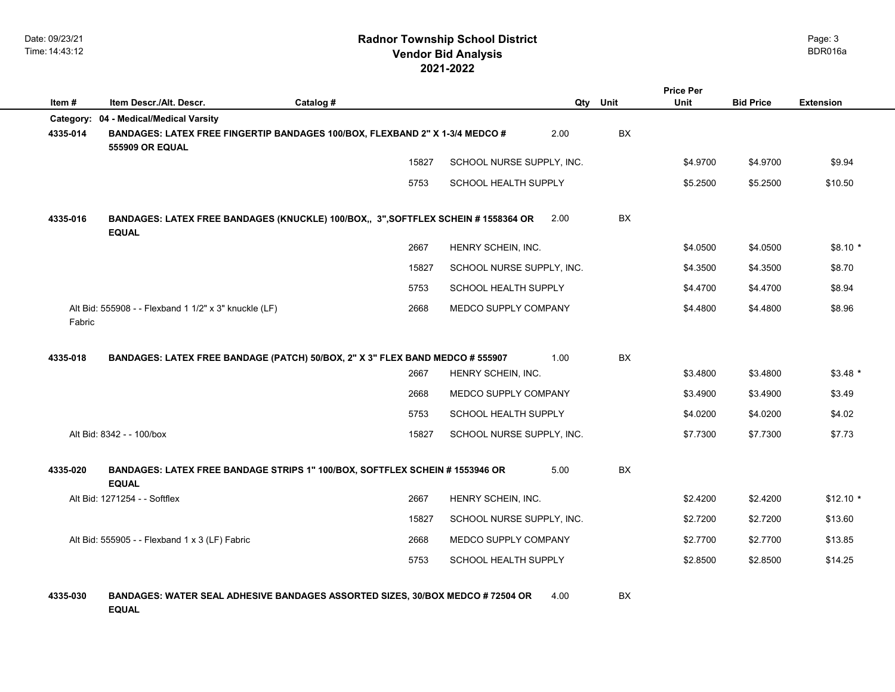| Item#    | Item Descr./Alt. Descr.                                                                                | Catalog # |                           | Qty Unit  | <b>Price Per</b><br>Unit | <b>Bid Price</b> | <b>Extension</b> |
|----------|--------------------------------------------------------------------------------------------------------|-----------|---------------------------|-----------|--------------------------|------------------|------------------|
|          | Category: 04 - Medical/Medical Varsity                                                                 |           |                           |           |                          |                  |                  |
| 4335-014 | BANDAGES: LATEX FREE FINGERTIP BANDAGES 100/BOX, FLEXBAND 2" X 1-3/4 MEDCO #<br><b>555909 OR EQUAL</b> |           | 2.00                      | BX        |                          |                  |                  |
|          |                                                                                                        | 15827     | SCHOOL NURSE SUPPLY, INC. |           | \$4.9700                 | \$4.9700         | \$9.94           |
|          |                                                                                                        | 5753      | SCHOOL HEALTH SUPPLY      |           | \$5.2500                 | \$5.2500         | \$10.50          |
| 4335-016 | BANDAGES: LATEX FREE BANDAGES (KNUCKLE) 100/BOX,, 3", SOFTFLEX SCHEIN #1558364 OR<br><b>EQUAL</b>      |           | 2.00                      | BX        |                          |                  |                  |
|          |                                                                                                        | 2667      | HENRY SCHEIN, INC.        |           | \$4.0500                 | \$4.0500         | $$8.10*$         |
|          |                                                                                                        | 15827     | SCHOOL NURSE SUPPLY, INC. |           | \$4.3500                 | \$4.3500         | \$8.70           |
|          |                                                                                                        | 5753      | SCHOOL HEALTH SUPPLY      |           | \$4.4700                 | \$4.4700         | \$8.94           |
| Fabric   | Alt Bid: 555908 - - Flexband 1 1/2" x 3" knuckle (LF)                                                  | 2668      | MEDCO SUPPLY COMPANY      |           | \$4.4800                 | \$4.4800         | \$8.96           |
| 4335-018 | BANDAGES: LATEX FREE BANDAGE (PATCH) 50/BOX, 2" X 3" FLEX BAND MEDCO # 555907                          |           | 1.00                      | BX        |                          |                  |                  |
|          |                                                                                                        | 2667      | HENRY SCHEIN, INC.        |           | \$3.4800                 | \$3.4800         | $$3.48*$         |
|          |                                                                                                        | 2668      | MEDCO SUPPLY COMPANY      |           | \$3.4900                 | \$3.4900         | \$3.49           |
|          |                                                                                                        | 5753      | SCHOOL HEALTH SUPPLY      |           | \$4.0200                 | \$4.0200         | \$4.02           |
|          | Alt Bid: 8342 - - 100/box                                                                              | 15827     | SCHOOL NURSE SUPPLY, INC. |           | \$7.7300                 | \$7.7300         | \$7.73           |
| 4335-020 | BANDAGES: LATEX FREE BANDAGE STRIPS 1" 100/BOX, SOFTFLEX SCHEIN # 1553946 OR<br><b>EQUAL</b>           |           | 5.00                      | <b>BX</b> |                          |                  |                  |
|          | Alt Bid: 1271254 - - Softflex                                                                          | 2667      | HENRY SCHEIN, INC.        |           | \$2.4200                 | \$2.4200         | $$12.10*$        |
|          |                                                                                                        | 15827     | SCHOOL NURSE SUPPLY, INC. |           | \$2.7200                 | \$2.7200         | \$13.60          |
|          | Alt Bid: 555905 - - Flexband 1 x 3 (LF) Fabric                                                         | 2668      | MEDCO SUPPLY COMPANY      |           | \$2.7700                 | \$2.7700         | \$13.85          |
|          |                                                                                                        | 5753      | SCHOOL HEALTH SUPPLY      |           | \$2.8500                 | \$2.8500         | \$14.25          |
| 4335-030 | <b>BANDAGES: WATER SEAL ADHESIVE BANDAGES ASSORTED SIZES, 30/BOX MEDCO # 72504 OR</b><br><b>EQUAL</b>  |           | 4.00                      | BX        |                          |                  |                  |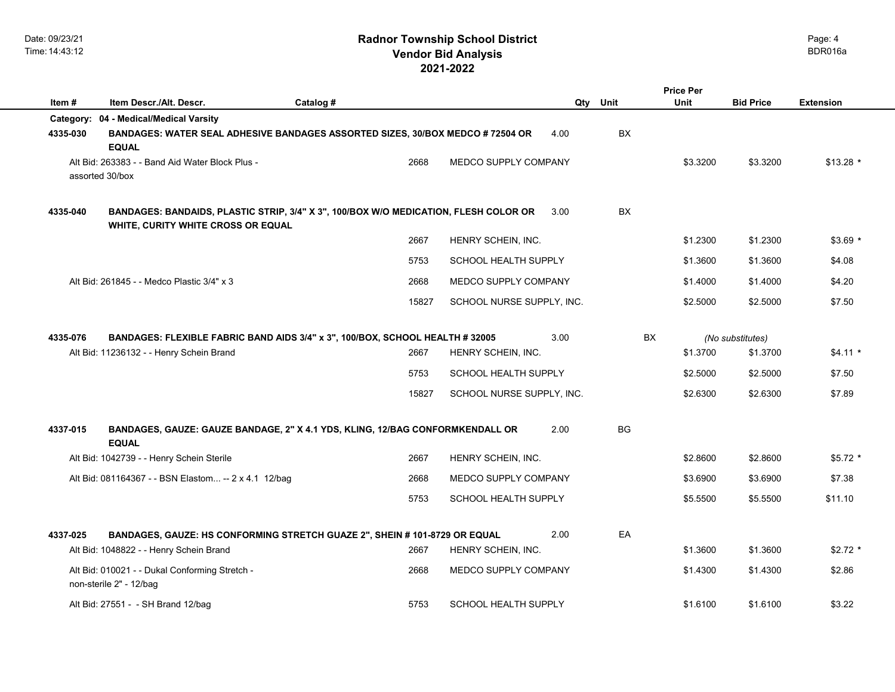| Item#    | Item Descr./Alt. Descr.                                                                                                    | Catalog # |       |                             |      | Qty Unit  | <b>Price Per</b><br>Unit | <b>Bid Price</b> | <b>Extension</b> |
|----------|----------------------------------------------------------------------------------------------------------------------------|-----------|-------|-----------------------------|------|-----------|--------------------------|------------------|------------------|
|          | Category: 04 - Medical/Medical Varsity                                                                                     |           |       |                             |      |           |                          |                  |                  |
| 4335-030 | BANDAGES: WATER SEAL ADHESIVE BANDAGES ASSORTED SIZES, 30/BOX MEDCO # 72504 OR<br><b>EQUAL</b>                             |           |       |                             | 4.00 | BX        |                          |                  |                  |
|          | Alt Bid: 263383 - - Band Aid Water Block Plus -<br>assorted 30/box                                                         |           | 2668  | MEDCO SUPPLY COMPANY        |      |           | \$3.3200                 | \$3.3200         | $$13.28$ *       |
| 4335-040 | BANDAGES: BANDAIDS, PLASTIC STRIP, 3/4" X 3", 100/BOX W/O MEDICATION, FLESH COLOR OR<br>WHITE, CURITY WHITE CROSS OR EQUAL |           |       |                             | 3.00 | <b>BX</b> |                          |                  |                  |
|          |                                                                                                                            |           | 2667  | HENRY SCHEIN, INC.          |      |           | \$1.2300                 | \$1.2300         | $$3.69$ *        |
|          |                                                                                                                            |           | 5753  | SCHOOL HEALTH SUPPLY        |      |           | \$1.3600                 | \$1.3600         | \$4.08           |
|          | Alt Bid: 261845 - - Medco Plastic 3/4" x 3                                                                                 |           | 2668  | MEDCO SUPPLY COMPANY        |      |           | \$1.4000                 | \$1.4000         | \$4.20           |
|          |                                                                                                                            |           | 15827 | SCHOOL NURSE SUPPLY, INC.   |      |           | \$2.5000                 | \$2.5000         | \$7.50           |
| 4335-076 | BANDAGES: FLEXIBLE FABRIC BAND AIDS 3/4" x 3", 100/BOX, SCHOOL HEALTH # 32005                                              |           |       |                             | 3.00 | <b>BX</b> |                          | (No substitutes) |                  |
|          | Alt Bid: 11236132 - - Henry Schein Brand                                                                                   |           | 2667  | HENRY SCHEIN, INC.          |      |           | \$1.3700                 | \$1.3700         | $$4.11*$         |
|          |                                                                                                                            |           | 5753  | SCHOOL HEALTH SUPPLY        |      |           | \$2.5000                 | \$2.5000         | \$7.50           |
|          |                                                                                                                            |           | 15827 | SCHOOL NURSE SUPPLY, INC.   |      |           | \$2.6300                 | \$2.6300         | \$7.89           |
| 4337-015 | BANDAGES, GAUZE: GAUZE BANDAGE, 2" X 4.1 YDS, KLING, 12/BAG CONFORMKENDALL OR<br><b>EQUAL</b>                              |           |       |                             | 2.00 | BG        |                          |                  |                  |
|          | Alt Bid: 1042739 - - Henry Schein Sterile                                                                                  |           | 2667  | HENRY SCHEIN, INC.          |      |           | \$2.8600                 | \$2.8600         | $$5.72$ *        |
|          | Alt Bid: 081164367 - - BSN Elastom -- 2 x 4.1 12/bag                                                                       |           | 2668  | MEDCO SUPPLY COMPANY        |      |           | \$3.6900                 | \$3.6900         | \$7.38           |
|          |                                                                                                                            |           | 5753  | <b>SCHOOL HEALTH SUPPLY</b> |      |           | \$5.5500                 | \$5.5500         | \$11.10          |
| 4337-025 | BANDAGES, GAUZE: HS CONFORMING STRETCH GUAZE 2", SHEIN # 101-8729 OR EQUAL                                                 |           |       |                             | 2.00 | EA        |                          |                  |                  |
|          | Alt Bid: 1048822 - - Henry Schein Brand                                                                                    |           | 2667  | HENRY SCHEIN, INC.          |      |           | \$1.3600                 | \$1.3600         | $$2.72$ *        |
|          | Alt Bid: 010021 - - Dukal Conforming Stretch -<br>non-sterile 2" - 12/bag                                                  |           | 2668  | MEDCO SUPPLY COMPANY        |      |           | \$1.4300                 | \$1.4300         | \$2.86           |
|          | Alt Bid: 27551 - - SH Brand 12/bag                                                                                         |           | 5753  | <b>SCHOOL HEALTH SUPPLY</b> |      |           | \$1.6100                 | \$1.6100         | \$3.22           |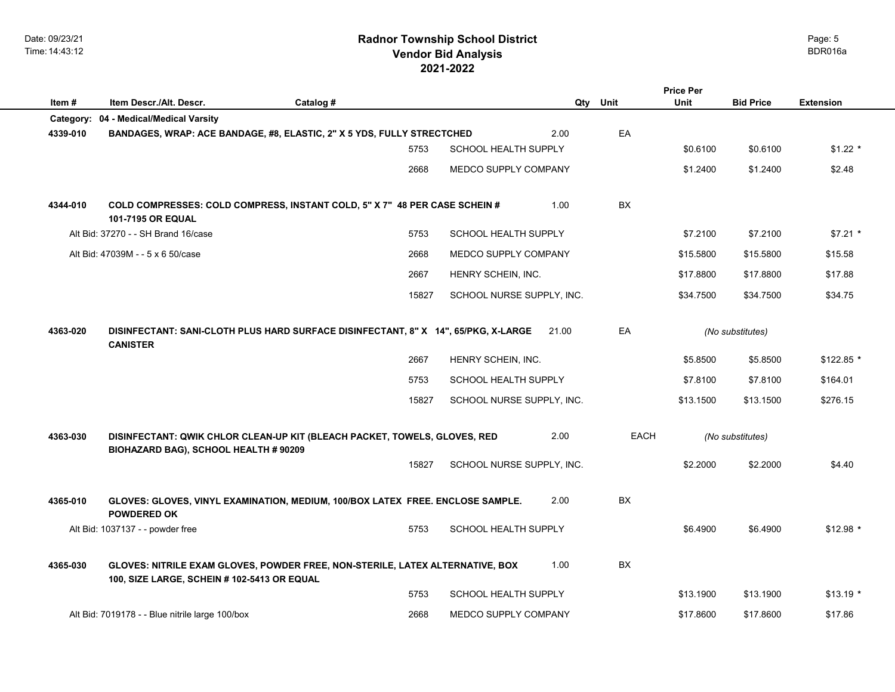Date: 09/23/21 Time: 14:43:12

# **2021-2022 Radnor Township School District Vendor Bid Analysis** BDR016a

|          |                                                                                                                              |           |       |                             |             | <b>Price Per</b> |                  |                  |
|----------|------------------------------------------------------------------------------------------------------------------------------|-----------|-------|-----------------------------|-------------|------------------|------------------|------------------|
| Item#    | Item Descr./Alt. Descr.                                                                                                      | Catalog # |       |                             | Qty Unit    | Unit             | <b>Bid Price</b> | <b>Extension</b> |
|          | Category: 04 - Medical/Medical Varsity                                                                                       |           |       |                             |             |                  |                  |                  |
| 4339-010 | BANDAGES, WRAP: ACE BANDAGE, #8, ELASTIC, 2" X 5 YDS, FULLY STRECTCHED                                                       |           |       | 2.00                        | EA          |                  |                  |                  |
|          |                                                                                                                              |           | 5753  | <b>SCHOOL HEALTH SUPPLY</b> |             | \$0.6100         | \$0.6100         | $$1.22$ *        |
|          |                                                                                                                              |           | 2668  | MEDCO SUPPLY COMPANY        |             | \$1.2400         | \$1.2400         | \$2.48           |
| 4344-010 | COLD COMPRESSES: COLD COMPRESS, INSTANT COLD, 5" X 7" 48 PER CASE SCHEIN #<br><b>101-7195 OR EQUAL</b>                       |           |       | 1.00                        | BX          |                  |                  |                  |
|          | Alt Bid: 37270 - - SH Brand 16/case                                                                                          |           | 5753  | <b>SCHOOL HEALTH SUPPLY</b> |             | \$7.2100         | \$7.2100         | $$7.21$ *        |
|          | Alt Bid: 47039M - - 5 x 6 50/case                                                                                            |           | 2668  | MEDCO SUPPLY COMPANY        |             | \$15.5800        | \$15.5800        | \$15.58          |
|          |                                                                                                                              |           | 2667  | HENRY SCHEIN, INC.          |             | \$17.8800        | \$17.8800        | \$17.88          |
|          |                                                                                                                              |           | 15827 | SCHOOL NURSE SUPPLY, INC.   |             | \$34.7500        | \$34.7500        | \$34.75          |
| 4363-020 | DISINFECTANT: SANI-CLOTH PLUS HARD SURFACE DISINFECTANT, 8" X 14", 65/PKG, X-LARGE<br><b>CANISTER</b>                        |           |       | 21.00                       | EA          |                  | (No substitutes) |                  |
|          |                                                                                                                              |           | 2667  | HENRY SCHEIN, INC.          |             | \$5.8500         | \$5.8500         | $$122.85$ *      |
|          |                                                                                                                              |           | 5753  | SCHOOL HEALTH SUPPLY        |             | \$7.8100         | \$7.8100         | \$164.01         |
|          |                                                                                                                              |           | 15827 | SCHOOL NURSE SUPPLY, INC.   |             | \$13.1500        | \$13.1500        | \$276.15         |
| 4363-030 | DISINFECTANT: QWIK CHLOR CLEAN-UP KIT (BLEACH PACKET, TOWELS, GLOVES, RED<br>BIOHAZARD BAG), SCHOOL HEALTH # 90209           |           |       | 2.00                        | <b>EACH</b> | (No substitutes) |                  |                  |
|          |                                                                                                                              |           | 15827 | SCHOOL NURSE SUPPLY, INC.   |             | \$2.2000         | \$2.2000         | \$4.40           |
| 4365-010 | GLOVES: GLOVES, VINYL EXAMINATION, MEDIUM, 100/BOX LATEX FREE. ENCLOSE SAMPLE.<br><b>POWDERED OK</b>                         |           |       | 2.00                        | <b>BX</b>   |                  |                  |                  |
|          | Alt Bid: 1037137 - - powder free                                                                                             |           | 5753  | SCHOOL HEALTH SUPPLY        |             | \$6.4900         | \$6.4900         | $$12.98$ *       |
| 4365-030 | GLOVES: NITRILE EXAM GLOVES, POWDER FREE, NON-STERILE, LATEX ALTERNATIVE, BOX<br>100, SIZE LARGE, SCHEIN # 102-5413 OR EQUAL |           |       | 1.00                        | BX          |                  |                  |                  |
|          |                                                                                                                              |           | 5753  | <b>SCHOOL HEALTH SUPPLY</b> |             | \$13.1900        | \$13.1900        | $$13.19$ *       |
|          | Alt Bid: 7019178 - - Blue nitrile large 100/box                                                                              |           | 2668  | MEDCO SUPPLY COMPANY        |             | \$17.8600        | \$17.8600        | \$17.86          |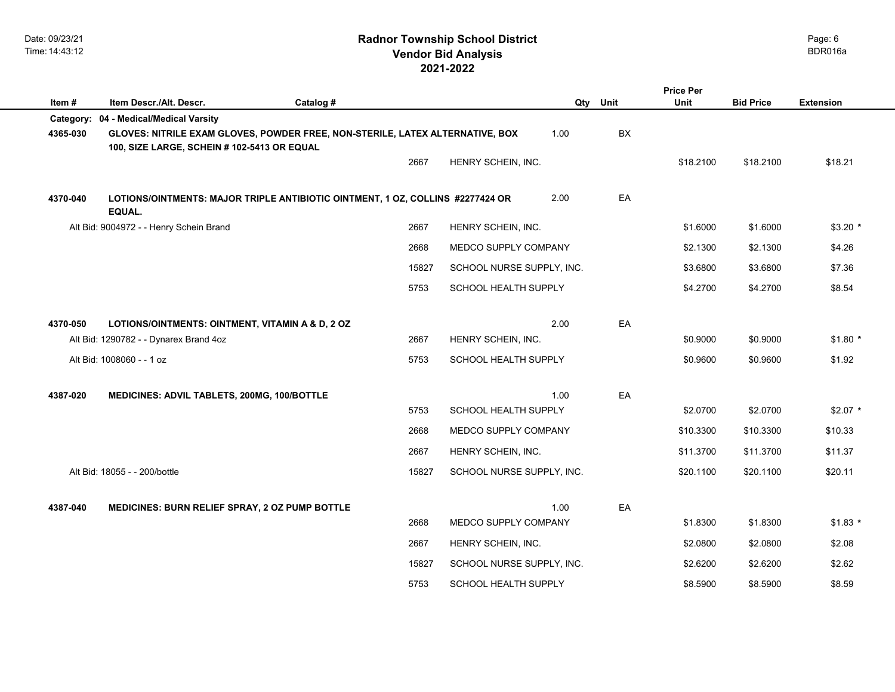|          |                                                                                                                              |           |       |                           |      |      | <b>Price Per</b> |                  |                  |  |
|----------|------------------------------------------------------------------------------------------------------------------------------|-----------|-------|---------------------------|------|------|------------------|------------------|------------------|--|
| Item#    | Item Descr./Alt. Descr.                                                                                                      | Catalog # |       |                           | Qty  | Unit | Unit             | <b>Bid Price</b> | <b>Extension</b> |  |
|          | Category: 04 - Medical/Medical Varsity                                                                                       |           |       |                           |      |      |                  |                  |                  |  |
| 4365-030 | GLOVES: NITRILE EXAM GLOVES, POWDER FREE, NON-STERILE, LATEX ALTERNATIVE, BOX<br>100, SIZE LARGE, SCHEIN # 102-5413 OR EQUAL |           |       |                           | 1.00 | BX   |                  |                  |                  |  |
|          |                                                                                                                              |           | 2667  | HENRY SCHEIN, INC.        |      |      | \$18.2100        | \$18.2100        | \$18.21          |  |
|          |                                                                                                                              |           |       |                           |      |      |                  |                  |                  |  |
| 4370-040 | LOTIONS/OINTMENTS: MAJOR TRIPLE ANTIBIOTIC OINTMENT, 1 OZ, COLLINS #2277424 OR<br>EQUAL.                                     |           |       |                           | 2.00 | EA   |                  |                  |                  |  |
|          | Alt Bid: 9004972 - - Henry Schein Brand                                                                                      |           | 2667  | HENRY SCHEIN, INC.        |      |      | \$1.6000         | \$1.6000         | $$3.20$ *        |  |
|          |                                                                                                                              |           | 2668  | MEDCO SUPPLY COMPANY      |      |      | \$2.1300         | \$2.1300         | \$4.26           |  |
|          |                                                                                                                              |           | 15827 | SCHOOL NURSE SUPPLY, INC. |      |      | \$3.6800         | \$3.6800         | \$7.36           |  |
|          |                                                                                                                              |           | 5753  | SCHOOL HEALTH SUPPLY      |      |      | \$4.2700         | \$4.2700         | \$8.54           |  |
|          |                                                                                                                              |           |       |                           |      |      |                  |                  |                  |  |
| 4370-050 | LOTIONS/OINTMENTS: OINTMENT, VITAMIN A & D, 2 OZ                                                                             |           |       |                           | 2.00 | EA   |                  |                  |                  |  |
|          | Alt Bid: 1290782 - - Dynarex Brand 4oz                                                                                       |           | 2667  | HENRY SCHEIN, INC.        |      |      | \$0.9000         | \$0.9000         | $$1.80*$         |  |
|          | Alt Bid: 1008060 - - 1 oz                                                                                                    |           | 5753  | SCHOOL HEALTH SUPPLY      |      |      | \$0.9600         | \$0.9600         | \$1.92           |  |
| 4387-020 | <b>MEDICINES: ADVIL TABLETS, 200MG, 100/BOTTLE</b>                                                                           |           |       |                           | 1.00 | EA   |                  |                  |                  |  |
|          |                                                                                                                              |           | 5753  | SCHOOL HEALTH SUPPLY      |      |      | \$2.0700         | \$2.0700         | $$2.07$ *        |  |
|          |                                                                                                                              |           | 2668  | MEDCO SUPPLY COMPANY      |      |      | \$10.3300        | \$10.3300        | \$10.33          |  |
|          |                                                                                                                              |           | 2667  | HENRY SCHEIN, INC.        |      |      | \$11.3700        | \$11.3700        | \$11.37          |  |
|          | Alt Bid: 18055 - - 200/bottle                                                                                                |           | 15827 | SCHOOL NURSE SUPPLY, INC. |      |      | \$20.1100        | \$20.1100        | \$20.11          |  |
|          |                                                                                                                              |           |       |                           |      |      |                  |                  |                  |  |
| 4387-040 | <b>MEDICINES: BURN RELIEF SPRAY, 2 OZ PUMP BOTTLE</b>                                                                        |           | 2668  | MEDCO SUPPLY COMPANY      | 1.00 | EA   | \$1.8300         | \$1.8300         | $$1.83$ *        |  |
|          |                                                                                                                              |           | 2667  | HENRY SCHEIN, INC.        |      |      | \$2.0800         | \$2.0800         | \$2.08           |  |
|          |                                                                                                                              |           | 15827 | SCHOOL NURSE SUPPLY, INC. |      |      | \$2.6200         | \$2.6200         | \$2.62           |  |
|          |                                                                                                                              |           | 5753  | SCHOOL HEALTH SUPPLY      |      |      | \$8.5900         | \$8.5900         | \$8.59           |  |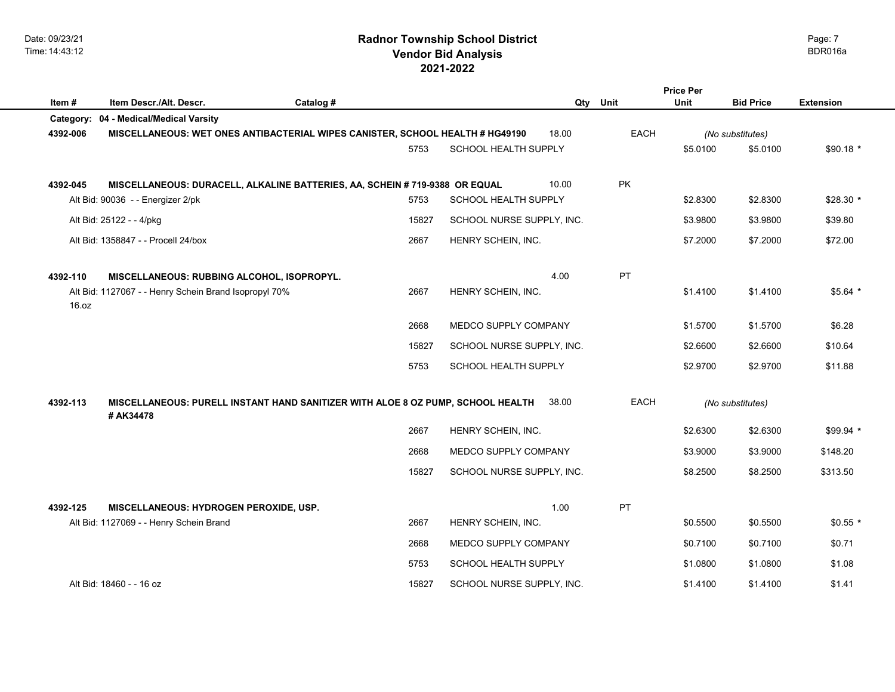|           |                                                                                              |           |       |                             |          |             | <b>Price Per</b> |                  |                  |
|-----------|----------------------------------------------------------------------------------------------|-----------|-------|-----------------------------|----------|-------------|------------------|------------------|------------------|
| Item #    | Item Descr./Alt. Descr.                                                                      | Catalog # |       |                             | Qty Unit |             | Unit             | <b>Bid Price</b> | <b>Extension</b> |
| Category: | 04 - Medical/Medical Varsity                                                                 |           |       |                             |          |             |                  |                  |                  |
| 4392-006  | MISCELLANEOUS: WET ONES ANTIBACTERIAL WIPES CANISTER, SCHOOL HEALTH # HG49190                |           |       |                             | 18.00    | <b>EACH</b> |                  | (No substitutes) |                  |
|           |                                                                                              |           | 5753  | SCHOOL HEALTH SUPPLY        |          |             | \$5.0100         | \$5.0100         | $$90.18*$        |
|           |                                                                                              |           |       |                             |          |             |                  |                  |                  |
| 4392-045  | MISCELLANEOUS: DURACELL, ALKALINE BATTERIES, AA, SCHEIN # 719-9388 OR EQUAL                  |           |       |                             | 10.00    | PK          |                  |                  |                  |
|           | Alt Bid: 90036 - - Energizer 2/pk                                                            |           | 5753  | SCHOOL HEALTH SUPPLY        |          |             | \$2.8300         | \$2.8300         | $$28.30*$        |
|           | Alt Bid: 25122 - - 4/pkg                                                                     |           | 15827 | SCHOOL NURSE SUPPLY, INC.   |          |             | \$3.9800         | \$3.9800         | \$39.80          |
|           | Alt Bid: 1358847 - - Procell 24/box                                                          |           | 2667  | HENRY SCHEIN, INC.          |          |             | \$7.2000         | \$7.2000         | \$72.00          |
|           |                                                                                              |           |       |                             |          |             |                  |                  |                  |
| 4392-110  | MISCELLANEOUS: RUBBING ALCOHOL, ISOPROPYL.                                                   |           |       |                             | 4.00     | PT          |                  |                  |                  |
| 16.0Z     | Alt Bid: 1127067 - - Henry Schein Brand Isopropyl 70%                                        |           | 2667  | HENRY SCHEIN, INC.          |          |             | \$1.4100         | \$1,4100         | $$5.64*$         |
|           |                                                                                              |           |       |                             |          |             |                  |                  |                  |
|           |                                                                                              |           | 2668  | MEDCO SUPPLY COMPANY        |          |             | \$1.5700         | \$1.5700         | \$6.28           |
|           |                                                                                              |           | 15827 | SCHOOL NURSE SUPPLY, INC.   |          |             | \$2.6600         | \$2.6600         | \$10.64          |
|           |                                                                                              |           | 5753  | SCHOOL HEALTH SUPPLY        |          |             | \$2.9700         | \$2.9700         | \$11.88          |
|           |                                                                                              |           |       |                             |          |             |                  |                  |                  |
| 4392-113  | MISCELLANEOUS: PURELL INSTANT HAND SANITIZER WITH ALOE 8 OZ PUMP, SCHOOL HEALTH<br># AK34478 |           |       |                             | 38.00    | <b>EACH</b> |                  | (No substitutes) |                  |
|           |                                                                                              |           | 2667  | HENRY SCHEIN, INC.          |          |             | \$2.6300         | \$2.6300         | $$99.94*$        |
|           |                                                                                              |           | 2668  | MEDCO SUPPLY COMPANY        |          |             | \$3.9000         | \$3.9000         | \$148.20         |
|           |                                                                                              |           | 15827 | SCHOOL NURSE SUPPLY, INC.   |          |             | \$8.2500         | \$8.2500         | \$313.50         |
|           |                                                                                              |           |       |                             |          |             |                  |                  |                  |
| 4392-125  | <b>MISCELLANEOUS: HYDROGEN PEROXIDE, USP.</b>                                                |           |       |                             | 1.00     | PT          |                  |                  |                  |
|           | Alt Bid: 1127069 - - Henry Schein Brand                                                      |           | 2667  | HENRY SCHEIN, INC.          |          |             | \$0.5500         | \$0.5500         | $$0.55$ *        |
|           |                                                                                              |           | 2668  | MEDCO SUPPLY COMPANY        |          |             | \$0.7100         | \$0.7100         | \$0.71           |
|           |                                                                                              |           | 5753  | <b>SCHOOL HEALTH SUPPLY</b> |          |             | \$1.0800         | \$1.0800         | \$1.08           |
|           | Alt Bid: 18460 - - 16 oz                                                                     |           | 15827 | SCHOOL NURSE SUPPLY, INC.   |          |             | \$1.4100         | \$1.4100         | \$1.41           |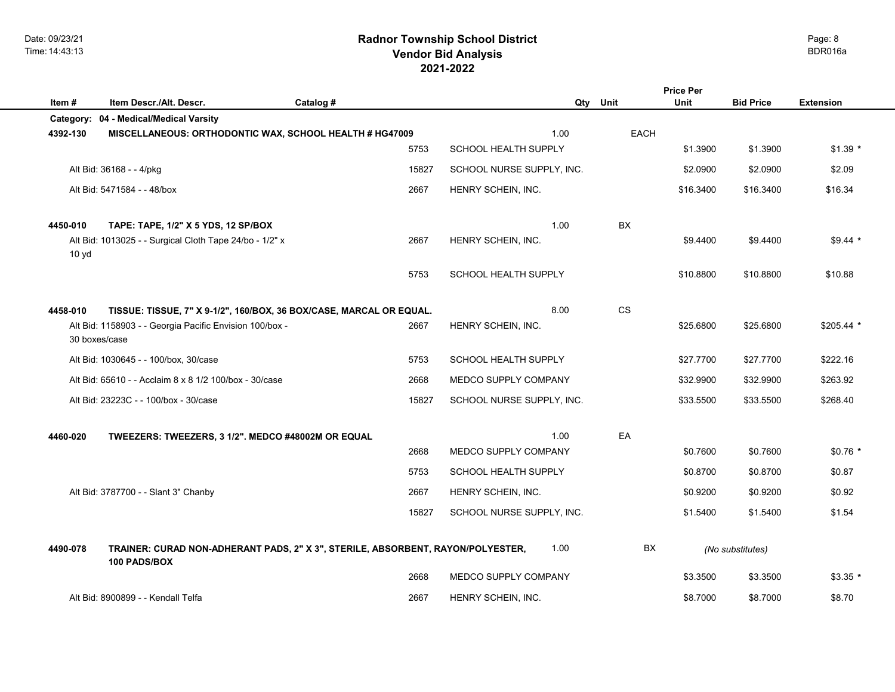Date: 09/23/21 Time: 14:43:13

# **2021-2022 Radnor Township School District Vendor Bid Analysis** BDR016a

|                  |                                                                                                 |           |                           |      | <b>Price Per</b> |                  |                  |
|------------------|-------------------------------------------------------------------------------------------------|-----------|---------------------------|------|------------------|------------------|------------------|
| Item#            | Item Descr./Alt. Descr.<br>Category: 04 - Medical/Medical Varsity                               | Catalog # | Qty                       | Unit | Unit             | <b>Bid Price</b> | <b>Extension</b> |
| 4392-130         | MISCELLANEOUS: ORTHODONTIC WAX, SCHOOL HEALTH # HG47009                                         |           | 1.00                      | EACH |                  |                  |                  |
|                  |                                                                                                 | 5753      | SCHOOL HEALTH SUPPLY      |      | \$1.3900         | \$1.3900         | $$1.39*$         |
|                  | Alt Bid: 36168 - - 4/pkg                                                                        | 15827     | SCHOOL NURSE SUPPLY, INC. |      | \$2.0900         | \$2.0900         | \$2.09           |
|                  | Alt Bid: 5471584 - - 48/box                                                                     | 2667      | HENRY SCHEIN, INC.        |      | \$16.3400        | \$16.3400        | \$16.34          |
| 4450-010         | TAPE: TAPE, 1/2" X 5 YDS, 12 SP/BOX                                                             |           | 1.00                      | BX   |                  |                  |                  |
| 10 <sub>yd</sub> | Alt Bid: 1013025 - - Surgical Cloth Tape 24/bo - 1/2" x                                         | 2667      | HENRY SCHEIN, INC.        |      | \$9,4400         | \$9.4400         | $$9.44$ *        |
|                  |                                                                                                 | 5753      | SCHOOL HEALTH SUPPLY      |      | \$10.8800        | \$10.8800        | \$10.88          |
| 4458-010         | TISSUE: TISSUE, 7" X 9-1/2", 160/BOX, 36 BOX/CASE, MARCAL OR EQUAL.                             |           | 8.00                      | CS   |                  |                  |                  |
| 30 boxes/case    | Alt Bid: 1158903 - - Georgia Pacific Envision 100/box -                                         | 2667      | HENRY SCHEIN, INC.        |      | \$25.6800        | \$25.6800        | $$205.44$ *      |
|                  | Alt Bid: 1030645 - - 100/box, 30/case                                                           | 5753      | SCHOOL HEALTH SUPPLY      |      | \$27.7700        | \$27.7700        | \$222.16         |
|                  | Alt Bid: 65610 - - Acclaim 8 x 8 1/2 100/box - 30/case                                          | 2668      | MEDCO SUPPLY COMPANY      |      | \$32.9900        | \$32.9900        | \$263.92         |
|                  | Alt Bid: 23223C - - 100/box - 30/case                                                           | 15827     | SCHOOL NURSE SUPPLY, INC. |      | \$33.5500        | \$33.5500        | \$268.40         |
| 4460-020         | TWEEZERS: TWEEZERS, 3 1/2". MEDCO #48002M OR EQUAL                                              |           | 1.00                      | EA   |                  |                  |                  |
|                  |                                                                                                 | 2668      | MEDCO SUPPLY COMPANY      |      | \$0.7600         | \$0.7600         | $$0.76*$         |
|                  |                                                                                                 | 5753      | SCHOOL HEALTH SUPPLY      |      | \$0.8700         | \$0.8700         | \$0.87           |
|                  | Alt Bid: 3787700 - - Slant 3" Chanby                                                            | 2667      | HENRY SCHEIN, INC.        |      | \$0.9200         | \$0.9200         | \$0.92           |
|                  |                                                                                                 | 15827     | SCHOOL NURSE SUPPLY, INC. |      | \$1.5400         | \$1.5400         | \$1.54           |
| 4490-078         | TRAINER: CURAD NON-ADHERANT PADS, 2" X 3", STERILE, ABSORBENT, RAYON/POLYESTER,<br>100 PADS/BOX |           | 1.00                      | BX   |                  | (No substitutes) |                  |
|                  |                                                                                                 | 2668      | MEDCO SUPPLY COMPANY      |      | \$3.3500         | \$3.3500         | $$3.35$ *        |
|                  | Alt Bid: 8900899 - - Kendall Telfa                                                              | 2667      | HENRY SCHEIN, INC.        |      | \$8.7000         | \$8.7000         | \$8.70           |